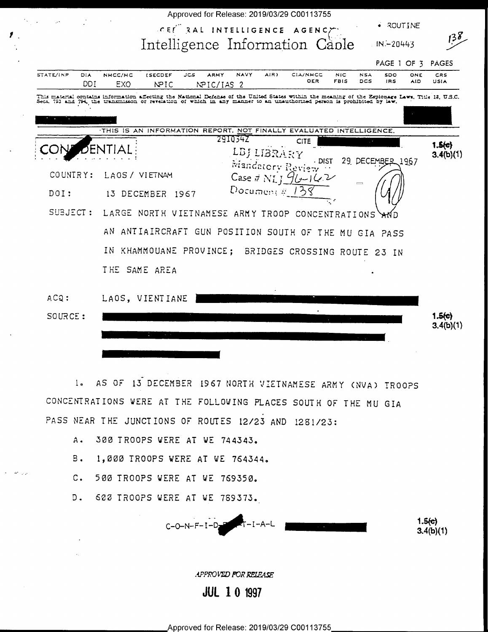|                                                                                                                         |                   |                |                                                                                                                                                   | Approved for Release: 2019/03/29 C00113755 |                           |             |                  |                                            |        |                    |                   |                  |                   |                     |
|-------------------------------------------------------------------------------------------------------------------------|-------------------|----------------|---------------------------------------------------------------------------------------------------------------------------------------------------|--------------------------------------------|---------------------------|-------------|------------------|--------------------------------------------|--------|--------------------|-------------------|------------------|-------------------|---------------------|
|                                                                                                                         |                   |                |                                                                                                                                                   | CEE RAL INTELLIGENCE                       |                           |             |                  |                                            | AGENC  |                    |                   |                  | ROUTINE           |                     |
|                                                                                                                         |                   |                | Intelligence Information Caple                                                                                                                    |                                            |                           |             |                  |                                            |        |                    |                   | $IN - 20443$     |                   | 138                 |
|                                                                                                                         |                   |                |                                                                                                                                                   |                                            |                           |             |                  |                                            |        |                    |                   |                  |                   | PAGE 1 OF 3 PAGES   |
| STATE/INP                                                                                                               | DIA<br><b>DDI</b> | NMCC/MC<br>EXO | <b>(SECDEF</b><br><b>NPIC</b>                                                                                                                     | ى ر                                        | <b>ARMY</b><br>NPIC/IAS 2 | <b>NAVY</b> | AIR)             | CIA/NMCC                                   | OER    | NIC<br><b>FBIS</b> | <b>NSA</b><br>DCS | soo<br>IRS       | ONE<br><b>AID</b> | CRS<br>USIA         |
| Secs. 793 and 794, the transmisson or revelation of which in any manner to an unauthorized person is prohibited by law. |                   |                | This material contains information affecting the National Defense of the United States within the meaning of the Espionage Laws, Title 13, U.S.C. |                                            |                           |             |                  |                                            |        |                    |                   |                  |                   |                     |
|                                                                                                                         |                   |                |                                                                                                                                                   |                                            |                           |             |                  |                                            |        |                    |                   |                  |                   |                     |
|                                                                                                                         |                   |                | THIS IS AN INFORMATION REPORT, NOT FINALLY EVALUATED INTELLIGENCE.                                                                                |                                            |                           |             |                  |                                            |        |                    |                   |                  |                   |                     |
|                                                                                                                         |                   | FNT)           |                                                                                                                                                   |                                            | 2910342                   | LB; LIBR    |                  | <b>CITE</b>                                | . DIST |                    |                   | 29 DECEMBER 1967 |                   | 1.5(0)<br>3.4(b)(1) |
| COUNTRY:                                                                                                                |                   |                | LAOS / VIETNAM                                                                                                                                    |                                            |                           |             |                  | Mandatory Review<br>Case # $NL$ [ $96-1$ ] |        |                    |                   |                  |                   |                     |
| DOI:                                                                                                                    |                   |                | 13 DECEMBER                                                                                                                                       | - 1967                                     |                           |             | $D$ ocument $\#$ |                                            |        |                    |                   |                  |                   |                     |
| SUBJECT:                                                                                                                |                   |                | LARGE NORTH VIETNAMESE ARMY TROOP CONCENTRATIONS                                                                                                  |                                            |                           |             |                  |                                            |        |                    |                   |                  |                   |                     |
|                                                                                                                         |                   |                | AN ANTIAIRCRAFT GUN POSITION SOUTH OF THE MU GIA PASS                                                                                             |                                            |                           |             |                  |                                            |        |                    |                   |                  |                   |                     |
|                                                                                                                         |                   | IN.            | KHAMMOUANE PROVINCE;                                                                                                                              |                                            |                           |             |                  | BRIDGES CROSSING ROUTE 23 IN               |        |                    |                   |                  |                   |                     |
|                                                                                                                         |                   |                | THE SAME AREA                                                                                                                                     |                                            |                           |             |                  |                                            |        |                    |                   |                  |                   |                     |
| ACQ:                                                                                                                    |                   |                | LAOS, VIENTIANE                                                                                                                                   |                                            |                           |             |                  |                                            |        |                    |                   |                  |                   |                     |
| SOURCE :                                                                                                                |                   |                |                                                                                                                                                   |                                            |                           |             |                  |                                            |        |                    |                   |                  |                   | 1.5(0)              |
|                                                                                                                         |                   |                |                                                                                                                                                   |                                            |                           |             |                  |                                            |        |                    |                   |                  |                   | 3.4(b)(1)           |
|                                                                                                                         |                   |                |                                                                                                                                                   |                                            |                           |             |                  |                                            |        |                    |                   |                  |                   |                     |
|                                                                                                                         |                   |                |                                                                                                                                                   |                                            |                           |             |                  |                                            |        |                    |                   |                  |                   |                     |
|                                                                                                                         |                   |                |                                                                                                                                                   |                                            |                           |             |                  |                                            |        |                    |                   |                  |                   |                     |

 $\mathbf{I}$ . AS OF 13 DECEMBER 1967 NORTH VIETNAMESE ARMY (NVA) TROOPS CONCENTRATIONS WERE AT THE FOLLOWING PLACES SOUTH OF THE MU GIA PASS NEAR THE JUNCTIONS OF ROUTES 12/23 AND 1281/23:

A. 300 TROOPS WERE AT WE 744343.

1

 $B -$ 1,000 TROOPS WERE AT WE 764344.

500 TROOPS WERE AT WE 769350.  $C_{\bullet}$ 

600 TROOPS WERE AT WE 789373.  $D -$ 

 $1.5(c)$  $C-O-N-F-I-D_2$ Fr-I-A-L  $3.4(b)(1)$ 

APPROVED FOR RELEASE

**JUL 10 1997**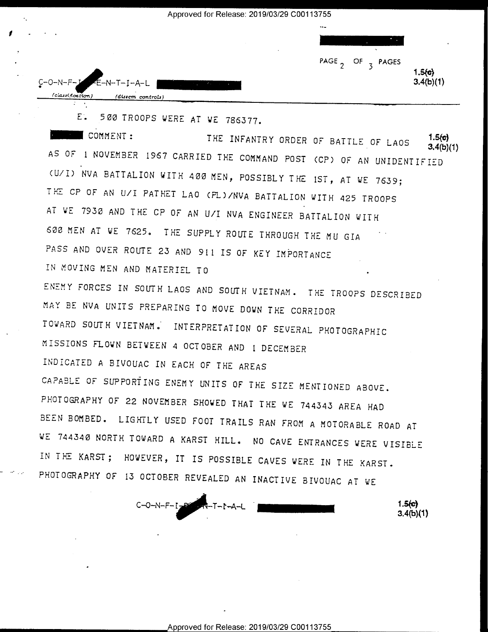| $\bullet$                                                                                                                                                                                                                                                       | $\cdots$              |                         |
|-----------------------------------------------------------------------------------------------------------------------------------------------------------------------------------------------------------------------------------------------------------------|-----------------------|-------------------------|
| $C-O-N-F-Y E-N-T-I-A-L$<br><u> Communication and State And State And State And State And State And State And State And State And State And State And State And State And State And State And State And State And State And State And State And State And St</u> | PAGE $2$ OF $3$ PAGES | $1.5(e)$<br>$3.4(b)(1)$ |
| (classification)<br>(dissem controls)                                                                                                                                                                                                                           |                       |                         |

Approved for Release: 2019/03/29 C00113755

E. 500 TROOPS WERE AT WE 786377.

COMMENT : THE INFANTRY ORDER OF BATTLE OF LAOS  $1.5(c)$  $3.4(b)(1)$ AS OF 1 NOVEMBER 1967 CARRIED THE COMMAND POST (CP) OF AN UNIDENTIFIED (U/I) NVA BATTALION WITH 400 MEN, POSSIBLY THE 1ST, AT WE 7639; THE CP OF AN U/I PATHET LAO (PL)/NVA BATTALION WITH 425 TROOPS AT WE 7930 AND THE CP OF AN U/I NVA ENGINEER BATTALION WITH 600 MEN AT WE 7625. THE SUPPLY ROUTE THROUGH THE MU GIA PASS AND OVER ROUTE 23 AND 911 IS OF KEY IMPORTANCE IN MOVING MEN AND MATERIEL TO ENEMY FORCES IN SOUTH LAOS AND SOUTH VIETNAM. THE TROOPS DESCRIBED MAY BE NVA UNITS PREPARING TO MOVE DOWN THE CORRIDOR TOWARD SOUTH VIETNAM. INTERPRETATION OF SEVERAL PHOTOGRAPHIC MISSIONS FLOWN BETWEEN 4 OCTOBER AND 1 DECEMBER INDICATED A BIVOUAC IN EACH OF THE AREAS CAPABLE OF SUPPORTING ENEMY UNITS OF THE SIZE MENTIONED ABOVE. PHOTOGRAPHY OF 22 NOVEMBER SHOWED THAT THE WE 744343 AREA HAD BEEN BOMBED. LIGHTLY USED FOOT TRAILS RAN FROM A MOTORABLE ROAD AT WE 744340 NORTH TOWARD A KARST HILL. NO CAVE ENTRANCES WERE VISIBLE IN THE KARST; HOWEVER, IT IS POSSIBLE CAVES WERE IN THE KARST. PHOTOGRAPHY OF 13 OCTOBER REVEALED AN INACTIVE BIVOUAC AT WE

 $1.5(c)$  $3.4(b)(1)$